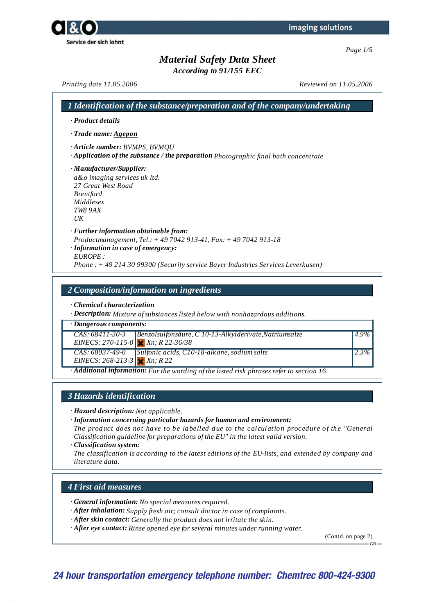*According to 91/155 EEC*

*Printing date 11.05.2006 Reviewed on 11.05.2006*

| · Product details                                                                                                                                                                                                                                         |  |
|-----------------------------------------------------------------------------------------------------------------------------------------------------------------------------------------------------------------------------------------------------------|--|
| · Trade name: Agepon                                                                                                                                                                                                                                      |  |
| Article number: BVMPS, BVMOU<br>· Application of the substance / the preparation Photographic final bath concentrate                                                                                                                                      |  |
| · Manufacturer/Supplier:<br>a&o imaging services uk ltd.<br>27 Great West Road<br><i>Brentford</i><br>Middlesex<br><b>TW8 9AX</b><br>UK                                                                                                                   |  |
| · Further information obtainable from:<br>Productmanagement, Tel.: $+$ 49 7042 913-41, Fax: $+$ 49 7042 913-18<br>$\cdot$ Information in case of emergency:<br>EUROPE:<br>Phone: +49 214 30 99300 (Security service Bayer Industries Services Leverkusen) |  |

*· Chemical characterization*

*· Description: Mixture ofsubstances listed below with nonhazardous additions.*

*· Dangerous components:*

| CAS: 68411-30-3   Benzolsulfonsäure, C 10-13-Alkylderivate, Natriumsalze | $14.9\%$ |
|--------------------------------------------------------------------------|----------|
| EINECS: 270-115-0 $X_n$ ; R 22-36/38                                     |          |
| CAS: 68037-49-0 Sulfonic acids, C10-18-alkane, sodium salts              | $12.3\%$ |
| EINECS: 268-213-3 $x \cdot \ln R$ 22                                     |          |
| $\blacksquare$                                                           |          |

*· Additional information: For the wording of the listed risk phrases refer to section 16.*

### *3 Hazards identification*

*· Hazard description: Not applicable.*

*· Information concerning particular hazards for human and environment:*

*The product does not have to be labelled due to the calculation procedure of the "General Classification guideline for preparations of the EU" in the latest valid version.*

*· Classification system:*

*The classification is according to the latest editions of the EU-lists, and extended by company and literature data.*

### *4 First aid measures*

*· General information: No special measures required.*

*· After inhalation: Supply fresh air; consult doctor in case of complaints.*

*· After skin contact: Generally the product does not irritate the skin.*

*· After eye contact: Rinse opened eye for several minutes under running water.*

(Contd. on page 2) GB

**24 hour transportation emergency telephone number: Chemtrec 800-424-9300**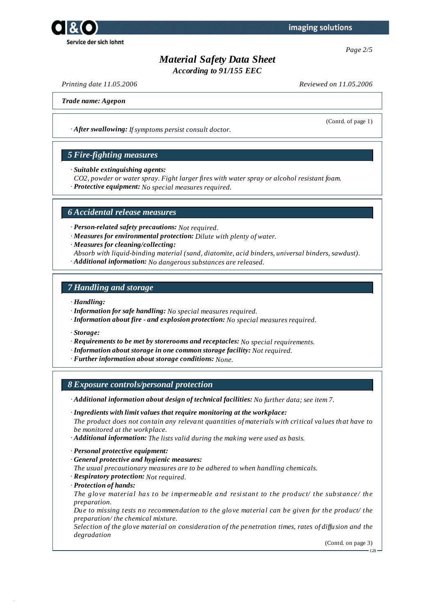



*According to 91/155 EEC*

*Printing date 11.05.2006 Reviewed on 11.05.2006*

(Contd. of page 1)

*Trade name: Agepon*

*· After swallowing: Ifsymptoms persist consult doctor.*

### *5 Fire-fighting measures*

*· Suitable extinguishing agents:*

- *CO2, powder or water spray. Fight larger fires with water spray or alcohol resistant foam.*
- *· Protective equipment: No special measures required.*

### *6 Accidental release measures*

- *· Person-related safety precautions: Not required.*
- *· Measures for environmental protection: Dilute with plenty of water.*
- *· Measures for cleaning/collecting:*
- *Absorb with liquid-binding material (sand, diatomite, acid binders, universal binders, sawdust).*
- *· Additional information: No dangerous substances are released.*

### *7 Handling and storage*

- *· Handling:*
- *· Information for safe handling: No special measures required.*
- *· Information about fire - and explosion protection: No special measures required.*

*· Storage:*

- *· Requirements to be met by storerooms and receptacles: No special requirements.*
- *· Information about storage in one common storage facility: Not required.*
- *· Further information about storage conditions: None.*

*8 Exposure controls/personal protection*

*· Additional information about design of technical facilities: No further data; see item 7.*

- *· Ingredients with limit values that require monitoring at the workplace:*
- *The product does not contain any relevant quantities of materials with critical values that have to be monitored at the workplace.*
- *· Additional information: The lists valid during the making were used as basis.*
- *· Personal protective equipment:*
- *· General protective and hygienic measures:*
- *The usual precautionary measures are to be adhered to when handling chemicals.*
- *· Respiratory protection: Not required.*
- *· Protection of hands:*

*The glove material has to be impermeable and resistant to the product/ the substance/ the preparation.*

*Due to missing tests no recommendation to the glove material can be given for the product/ the preparation/ the chemical mixture.*

*Selection of the glove material on consideration of the penetration times, rates of dif usion and the degradation*

(Contd. on page 3)

GB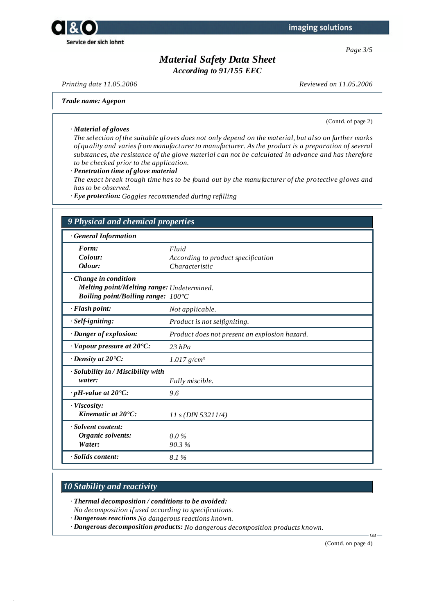



*According to 91/155 EEC*

*Printing date 11.05.2006 Reviewed on 11.05.2006*

*Trade name: Agepon*

*· Material of gloves*

(Contd. of page 2)

The selection of the suitable gloves does not only depend on the material, but also on further marks *of quality and varies from manufacturer to manufacturer. As the product is a preparation of several substances, the resistance of the glove material can not be calculated in advance and has therefore to be checked prior to the application.*

*· Penetration time of glove material*

*The exact break trough time has to be found out by the manufacturer of the protective gloves and has to be observed.*

*· Eye protection: Goggles recommended during refilling*

| <b>General Information</b>                          |                                               |  |
|-----------------------------------------------------|-----------------------------------------------|--|
| Form:                                               | Fluid                                         |  |
| Colour:                                             | According to product specification            |  |
| Odour:                                              | Characteristic                                |  |
| Change in condition                                 |                                               |  |
| Melting point/Melting range: Undetermined.          |                                               |  |
| <i>Boiling point/Boiling range:</i> $100^{\circ}$ C |                                               |  |
| · Flash point:                                      | Not applicable.                               |  |
| · Self-igniting:                                    | Product is not selfigniting.                  |  |
| · Danger of explosion:                              | Product does not present an explosion hazard. |  |
| $\cdot$ Vapour pressure at 20 $\textdegree$ C:      | $23$ hPa                                      |  |
| $\cdot$ Density at 20 $\degree$ C:                  | $1.017$ g/cm <sup>3</sup>                     |  |
| · Solubility in / Miscibility with                  |                                               |  |
| water:                                              | Fully miscible.                               |  |
| $\cdot$ pH-value at 20 $\textdegree$ C:             | 9.6                                           |  |
| · Viscosity:                                        |                                               |  |
| Kinematic at 20°C:                                  | $11 s$ (DIN 53211/4)                          |  |
| Solvent content:                                    |                                               |  |
| Organic solvents:                                   | $0.0\%$                                       |  |
| Water:                                              | 90.3%                                         |  |

### *10 Stability and reactivity*

- *· Thermal decomposition / conditions to be avoided:*
- *No decomposition if used according to specifications.*
- *· Dangerous reactions No dangerous reactions known.*
- *· Dangerous decomposition products: No dangerous decomposition products known.*

(Contd. on page 4)

GB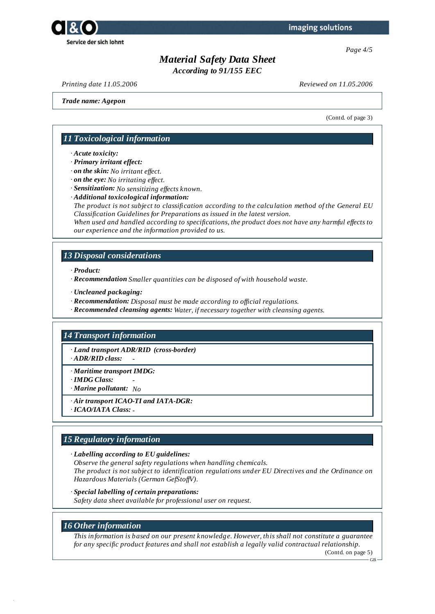

*Page 4/5*

## *Material Safety Data Sheet*

*According to 91/155 EEC*

*Printing date 11.05.2006 Reviewed on 11.05.2006*

*Trade name: Agepon*

(Contd. of page 3)

### *11 Toxicological information*

- *· Acute toxicity:*
- *· Primary irritant effect:*
- *· on the skin: No irritant ef ect.*
- *· on the eye: No irritating ef ect.*
- *· Sensitization: No sensitizing ef ects known.*
- *· Additional toxicological information:*

*The product is not subject to classification according to the calculation method of the General EU Classification Guidelines for Preparations as issued in the latest version.*

*When used and handled according to specifications, the product does not have any harmful ef ects to our experience and the information provided to us.*

### *13 Disposal considerations*

- *· Product:*
- *· Recommendation Smaller quantities can be disposed of with household waste.*
- *· Uncleaned packaging:*
- *· Recommendation: Disposal must be made according to of icial regulations.*
- *· Recommended cleansing agents: Water, if necessary together with cleansing agents.*

### *14 Transport information*

*· Land transport ADR/RID (cross-border) · ADR/RID class: -*

*· Maritime transport IMDG:*

- *· IMDG Class: -*
- *· Marine pollutant: No*
- *· Air transport ICAO-TI and IATA-DGR:*
- *· ICAO/IATA Class: -*

### *15 Regulatory information*

#### *· Labelling according to EU guidelines:*

*Observe the general safety regulations when handling chemicals.*

*The product is not subject to identification regulations under EU Directives and the Ordinance on Hazardous Materials (German GefStof V).*

#### *· Special labelling of certain preparations:*

*Safety data sheet available for professional user on request.*

### *16 Other information*

*This information is based on our present knowledge. However, this shall not constitute a guarantee for any specific product features and shall not establish a legally valid contractual relationship.*

(Contd. on page 5)

GB